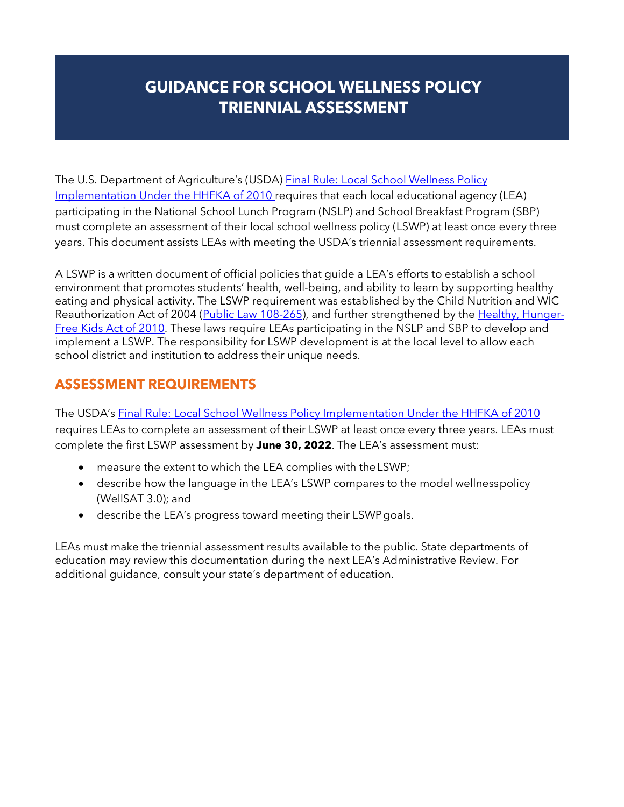# **GUIDANCE FOR SCHOOL WELLNESS POLICY GUIDANCE FOR SCHOOL WELLNESS POLICY TRIENNIAL ASSESSMENT TRIENNIAL ASSESSMENT**

The U.S. Department of Agriculture's (USDA) [Final Rule: Local School Wellness Policy](https://www.fns.usda.gov/cn/fr-072916c) [Implementation Under the HHFKA of 2010 r](https://www.fns.usda.gov/cn/fr-072916c)equires that each local educational agency (LEA) participating in the National School Lunch Program (NSLP) and School Breakfast Program (SBP) must complete an assessment of their local school wellness policy (LSWP) at least once every three years. This document assists LEAs with meeting the USDA's triennial assessment requirements.

A LSWP is a written document of official policies that guide a LEA's efforts to establish a school environment that promotes students' health, well-being, and ability to learn by supporting healthy eating and physical activity. The LSWP requirement was established by the Child Nutrition and WIC Reauthorization Act of 2004 [\(Public Law 108-265\)](http://www.gpo.gov/fdsys/pkg/PLAW-108publ265/pdf/PLAW-108publ265.pdf), and further strengthened by the [Healthy, Hunger-](http://www.fns.usda.gov/school-meals/healthy-hunger-free-kids-act)[Free Kids Act of 2010.](http://www.fns.usda.gov/school-meals/healthy-hunger-free-kids-act) These laws require LEAs participating in the NSLP and SBP to develop and implement a LSWP. The responsibility for LSWP development is at the local level to allow each school district and institution to address their unique needs.

# **ASSESSMENT REQUIREMENTS**

The USDA's [Final Rule: Local School Wellness Policy Implementation Under the HHFKA of](https://www.fns.usda.gov/cn/fr-072916c) [2010](https://www.fns.usda.gov/cn/fr-072916c)  requires LEAs to complete an assessment of their LSWP at least once every three years. LEAs must complete the first LSWP assessment by **June 30, 2022**. The LEA's assessment must:

- measure the extent to which the LEA complies with theLSWP;
- describe how the language in the LEA's LSWP compares to the model wellnesspolicy (WellSAT 3.0); and
- describe the LEA's progress toward meeting their LSWPgoals.

LEAs must make the triennial assessment results available to the public. State departments of education may review this documentation during the next LEA's Administrative Review. For additional guidance, consult your state's department of education.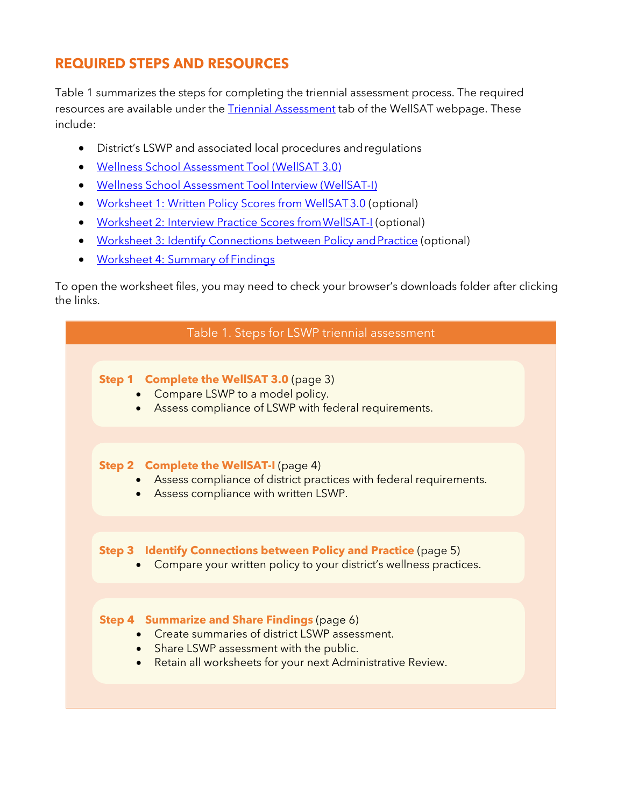# **REQUIRED STEPS AND RESOURCES**

Table 1 summarizes the steps for completing the triennial assessment process. The required resources are available under the **Triennial Assessment** tab of the WellSAT webpage. These include:

- District's LSWP and associated local procedures andregulations
- [Wellness School Assessment Tool \(WellSAT 3.0\)](https://www.wellsat.org/)
- [Wellness School Assessment Tool](https://www.wellsat.org/WellSAT-I.aspx) Interview (WellSAT-I)
- [Worksheet 1: Written Policy Scores from WellSAT3.0](https://www.wellsat.org/upload/docs/WellSAT%203.0%20Scoresheet.pdf) (optional)
- Worksheet 2: Interview Practice Scores from WellSAT-I (optional)
- Worksheet 3: Identify Connections between Policy and Practice (optional)
- [Worksheet 4: Summary of](https://www.wellsat.org/upload/docs/Worksheet%204.docx) Findings

To open the worksheet files, you may need to check your browser's downloads folder after clicking the links.

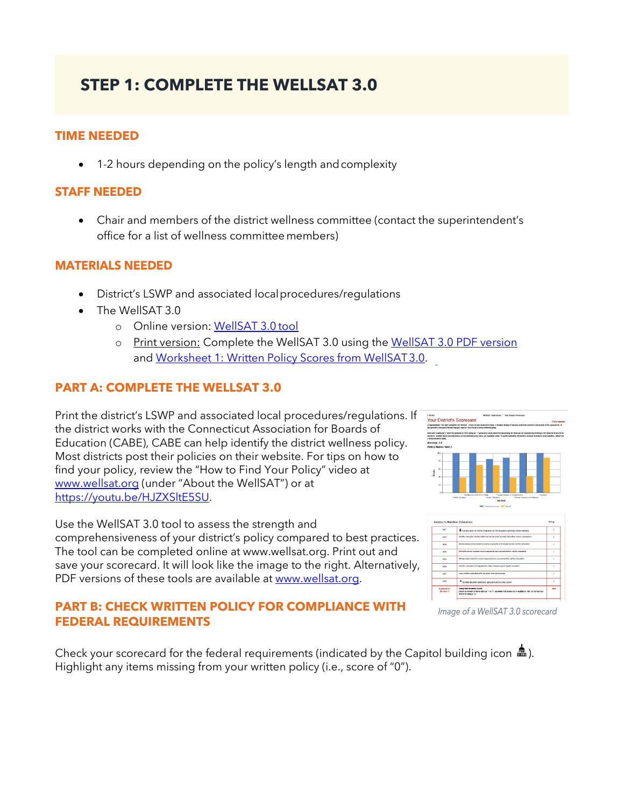# **STEP 1: COMPLETE THE WELLSAT 3.0**

# **TIME NEEDED**

• 1-2 hours depending on the policy's length and complexity

## **STAFF NEEDED**

• Chair and members of the district wellness committee (contact the superintendent's office for a list of wellness committeemembers)

### **MATERIALS NEEDED**

- District's LSWP and associated localprocedures/regulations
- The WellSAT 3.0
	- o Online version: [WellSAT 3.0](http://www.wellsat.org/) tool
	- o Print version: Complete the WellSAT 3.0 using the [WellSAT 3.0 PDF version](https://www.wellsat.org/upload/docs/WellSAT%20Hardcopy.pdf) and [Worksheet 1: Written Policy Scores from WellSAT3.0.](https://www.wellsat.org/upload/docs/WellSAT%203.0%20Scoresheet.pdf)

# **PART A: COMPLETE THE WELLSAT 3.0**

Print the district's LSWP and associated local procedures/regulations. If the district works with the Connecticut Association for Boards of Education (CABE), CABE can help identify the district wellness policy. Most districts post their policies on their website. For tips on how to find your policy, review the "How to Find Your Policy" video at [www.wellsat.org](http://www.wellsat.org/) (under "About the WellSAT") or at [https://youtu.be/HJZXSltE5SU.](https://youtu.be/HJZXSltE5SU)

Use the WellSAT 3.0 tool to assess the strength and comprehensiveness of your district's policy compared to best practices. The tool can be completed online at www.wellsat.org. Print out and save your scorecard. It will look like the image to the right. Alternatively, PDF versions of these tools are available at [www.wellsat.org.](http://www.wellsat.org/)

# **PART B: CHECK WRITTEN POLICY FOR COMPLIANCE WITH FEDERAL REQUIREMENTS**

Check your scorecard for the federal requirements (indicated by the Capitol building icon  $\triangleq$ ). Highlight any items missing from your written policy (i.e., score of "0").





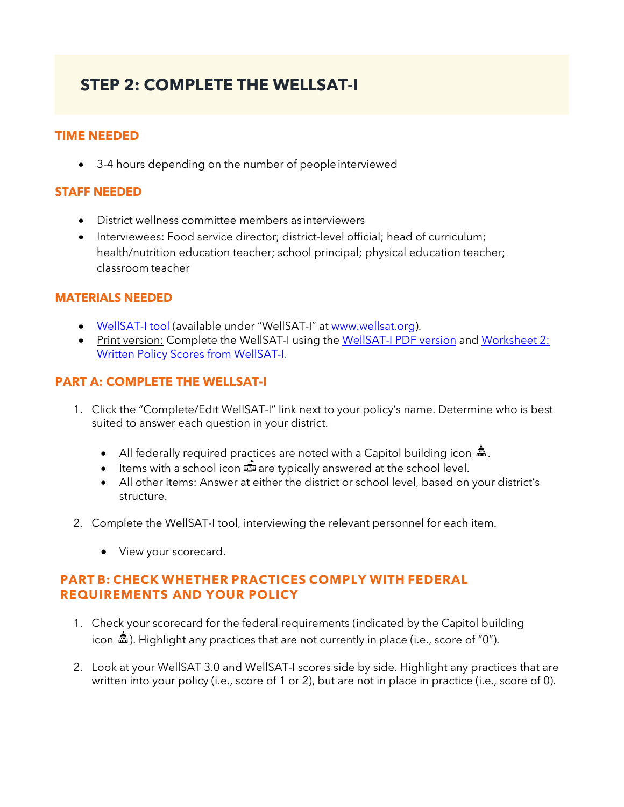# **STEP 2: COMPLETE THE WELLSAT-I**

# **TIME NEEDED**

• 3-4 hours depending on the number of peopleinterviewed

# **STAFF NEEDED**

- District wellness committee members as interviewers
- Interviewees: Food service director; district-level official; head of curriculum; health/nutrition education teacher; school principal; physical education teacher; classroom teacher

### **MATERIALS NEEDED**

- [WellSAT-I tool](https://www.wellsat.org/WellSAT-I.aspx) (available under "WellSAT-I" at [www.wellsat.org\)](http://www.wellsat.org/).
- Print version: Complete the WellSAT-I using the [WellSAT-I PDF version](https://www.wellsat.org/upload/docs/WellSAT-I%203.0%20All%20Sections.pdf) and Worksheet 2: [Written Policy Scores from WellSAT-I.](https://www.wellsat.org/upload/docs/WellSAT-I%20scorecard.pdf)

# **PART A: COMPLETE THE WELLSAT-I**

- 1. Click the "Complete/Edit WellSAT-I" link next to your policy's name. Determine who is best suited to answer each question in your district.
	- All federally required practices are noted with a Capitol building icon  $\mathbf{m}$ .
	- Items with a school icon  $\mathbb{E}$  are typically answered at the school level.
	- All other items: Answer at either the district or school level, based on your district's structure.
- 2. Complete the WellSAT-I tool, interviewing the relevant personnel for each item.
	- View your scorecard.

# **PART B: CHECK WHETHER PRACTICES COMPLY WITH FEDERAL REQUIREMENTS AND YOUR POLICY**

- 1. Check your scorecard for the federal requirements (indicated by the Capitol building icon  $\triangleq$ ). Highlight any practices that are not currently in place (i.e., score of "0").
- 2. Look at your WellSAT 3.0 and WellSAT-I scores side by side. Highlight any practices that are written into your policy (i.e., score of 1 or 2), but are not in place in practice (i.e., score of 0).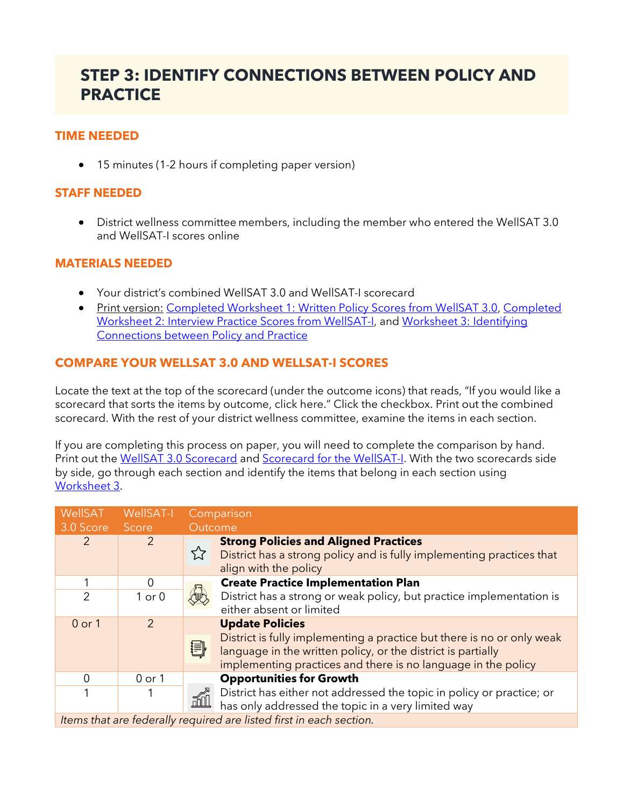# **STEP 3: IDENTIFY CONNECTIONS BETWEEN POLICY AND PRACTICE**

# **TIME NEEDED**

• 15 minutes (1-2 hours if completing paper version)

# **STAFF NEEDED**

• District wellness committee members, including the member who entered the WellSAT 3.0 and WellSAT-I scores online

### **MATERIALS NEEDED**

- Your district's combined WellSAT 3.0 and WellSAT-I scorecard
- Print version: [Completed Worksheet 1: Written Policy Scores from WellSAT 3.0,](https://www.wellsat.org/upload/docs/WellSAT%203.0%20Scoresheet.pdf) Completed [Worksheet 2: Interview Practice Scores from WellSAT-I,](https://www.wellsat.org/upload/docs/WellSAT-I%20scorecard.pdf) and [Worksheet 3: Identifying](https://www.wellsat.org/upload/docs/Worksheet%203.docx)  [Connections between Policy and Practice](https://www.wellsat.org/upload/docs/Worksheet%203.docx)

# **COMPARE YOUR WELLSAT 3.0 AND WELLSAT-I SCORES**

Locate the text at the top of the scorecard (under the outcome icons) that reads, "If you would like a scorecard that sorts the items by outcome, click here." Click the checkbox. Print out the combined scorecard. With the rest of your district wellness committee, examine the items in each section.

If you are completing this process on paper, you will need to complete the comparison by hand. Print out the [WellSAT 3.0 Scorecard](https://www.wellsat.org/upload/docs/WellSAT%203.0%20Scoresheet.pdf) and [Scorecard for the WellSAT-I.](https://www.wellsat.org/upload/docs/WellSAT-I%20scorecard.pdf) With the two scorecards side by side, go through each section and identify the items that belong in each section using [Worksheet 3.](https://www.wellsat.org/upload/docs/Worksheet%203.docx)

| WellSAT                                                             | WellSAT-I     | Comparison                                                                                                                                                                                                   |  |
|---------------------------------------------------------------------|---------------|--------------------------------------------------------------------------------------------------------------------------------------------------------------------------------------------------------------|--|
| 3.0 Score                                                           | Score         | Outcome                                                                                                                                                                                                      |  |
| 2                                                                   | $\mathcal{P}$ | <b>Strong Policies and Aligned Practices</b><br>☆<br>District has a strong policy and is fully implementing practices that<br>align with the policy                                                          |  |
|                                                                     | $\Omega$      | <b>Create Practice Implementation Plan</b>                                                                                                                                                                   |  |
| $\overline{2}$                                                      | $1$ or $0$    | District has a strong or weak policy, but practice implementation is<br>either absent or limited                                                                                                             |  |
| $0$ or $1$                                                          | $\mathcal{P}$ | <b>Update Policies</b>                                                                                                                                                                                       |  |
|                                                                     |               | District is fully implementing a practice but there is no or only weak<br>割<br>language in the written policy, or the district is partially<br>implementing practices and there is no language in the policy |  |
| $\overline{0}$                                                      | $0$ or $1$    | <b>Opportunities for Growth</b>                                                                                                                                                                              |  |
| 1                                                                   |               | District has either not addressed the topic in policy or practice; or<br>ó<br>has only addressed the topic in a very limited way                                                                             |  |
| Items that are federally required are listed first in each section. |               |                                                                                                                                                                                                              |  |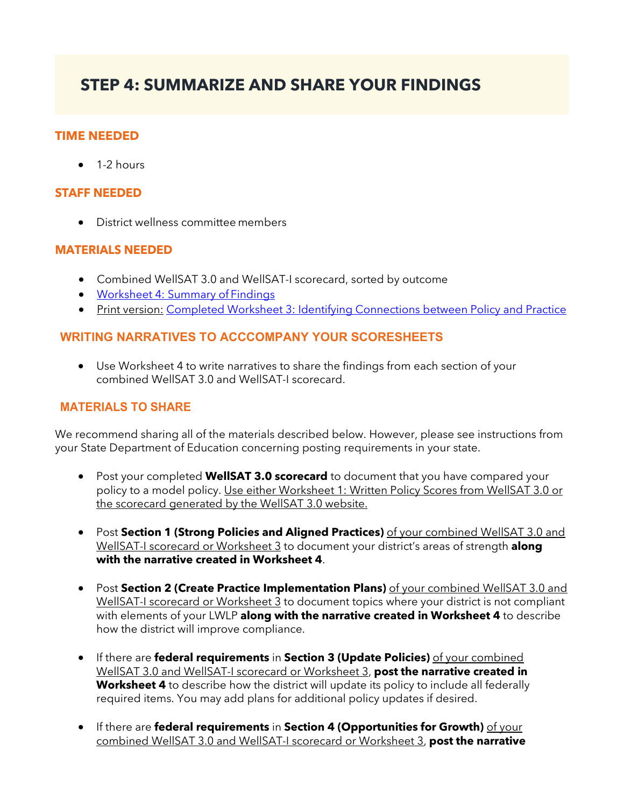# **STEP 4: SUMMARIZE AND SHARE YOUR FINDINGS**

### **TIME NEEDED**

 $\bullet$  1-2 hours

#### **STAFF NEEDED**

• District wellness committee members

### **MATERIALS NEEDED**

- Combined WellSAT 3.0 and WellSAT-I scorecard, sorted by outcome
- [Worksheet 4: Summary of](https://www.wellsat.org/upload/docs/Worksheet%204.docx) Findings
- Print version: [Completed Worksheet 3: Identifying Connections between Policy and Practice](https://www.wellsat.org/upload/docs/Worksheet%203.docx)

# **WRITING NARRATIVES TO ACCCOMPANY YOUR SCORESHEETS**

• Use Worksheet 4 to write narratives to share the findings from each section of your combined WellSAT 3.0 and WellSAT-I scorecard.

# **MATERIALS TO SHARE**

We recommend sharing all of the materials described below. However, please see instructions from your State Department of Education concerning posting requirements in your state.

- Post your completed **WellSAT 3.0 scorecard** to document that you have compared your policy to a model policy. Use either Worksheet 1: Written Policy Scores from WellSAT 3.0 or the scorecard generated by the WellSAT 3.0 website.
- Post **Section 1 (Strong Policies and Aligned Practices)** of your combined WellSAT 3.0 and WellSAT-I scorecard or Worksheet 3 to document your district's areas of strength **along with the narrative created in Worksheet 4**.
- Post **Section 2 (Create Practice Implementation Plans)** of your combined WellSAT 3.0 and WellSAT-I scorecard or Worksheet 3 to document topics where your district is not compliant with elements of your LWLP **along with the narrative created in Worksheet 4** to describe how the district will improve compliance.
- If there are **federal requirements** in **Section 3 (Update Policies)** of your combined WellSAT 3.0 and WellSAT-I scorecard or Worksheet 3, **post the narrative created in Worksheet 4** to describe how the district will update its policy to include all federally required items. You may add plans for additional policy updates if desired.
- If there are **federal requirements** in **Section 4 (Opportunities for Growth)** of your combined WellSAT 3.0 and WellSAT-I scorecard or Worksheet 3, **post the narrative**